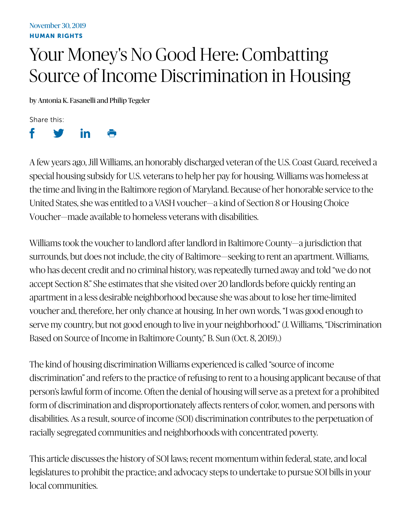## Your Money's No Good Here: Combatting Source of Income Discrimination in Housing

by Antonia K. Fasanelli and Philip Tegeler

Share this:



A few years ago, Jill Williams, an honorably discharged veteran of the U.S. Coast Guard, received a special housing subsidy for U.S. veterans to help her pay for housing. Williams was homeless at the time and living in the Baltimore region of Maryland. Because of her honorable service to the United States, she was entitled to a VASH voucher—a kind of Section 8 or Housing Choice Voucher—made available to homeless veterans with disabilities.

Williams took the voucher to landlord after landlord in Baltimore County—a jurisdiction that surrounds, but does not include, the city of Baltimore—seeking to rent an apartment. Williams, who has decent credit and no criminal history, was repeatedly turned away and told "we do not accept Section 8." She estimates that she visited over 20 landlords before quickly renting an apartment in a less desirable neighborhood because she was about to lose her time-limited voucher and, therefore, her only chance at housing. In her own words, "I was good enough to serve my country, but not good enough to live in your neighborhood." (J. Williams, "Discrimination Based on Source of Income in Baltimore County," B. Sun (Oct. 8, 2019).)

The kind of housing discrimination Williams experienced is called "source of income discrimination" and refers to the practice of refusing to rent to a housing applicant because of that person's lawful form of income. Often the denial of housing will serve as a pretext for a prohibited form of discrimination and disproportionately affects renters of color, women, and persons with disabilities. As a result, source of income (SOI) discrimination contributes to the perpetuation of racially segregated communities and neighborhoods with concentrated poverty.

This article discusses the history of SOI laws; recent momentum within federal, state, and local legislatures to prohibit the practice; and advocacy steps to undertake to pursue SOI bills in your local communities.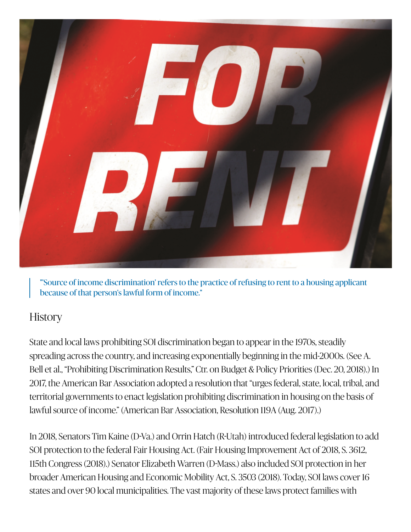

"'Source of income discrimination' refers to the practice of refusing to rent to a housing applicant because of that person's lawful form of income."

## **History**

State and local laws prohibiting SOI discrimination began to appear in the 1970s, steadily spreading across the country, and increasing exponentially beginning in the mid-2000s. (See A. Bell et al., "Prohibiting Discrimination Results," Ctr. on Budget & Policy Priorities (Dec. 20, 2018).) In 2017, the American Bar Association adopted a resolution that "urges federal, state, local, tribal, and territorial governments to enact legislation prohibiting discrimination in housing on the basis of lawful source of income." (American Bar Association, Resolution 119A (Aug. 2017).)

In 2018, Senators Tim Kaine (D-Va.) and Orrin Hatch (R-Utah) introduced federal legislation to add SOI protection to the federal Fair Housing Act. (Fair Housing Improvement Act of 2018, S. 3612, 115th Congress (2018).) Senator Elizabeth Warren (D-Mass.) also included SOI protection in her broader American Housing and Economic Mobility Act, S. 3503 (2018). Today, SOI laws cover 16 states and over 90 local municipalities. The vast majority of these laws protect families with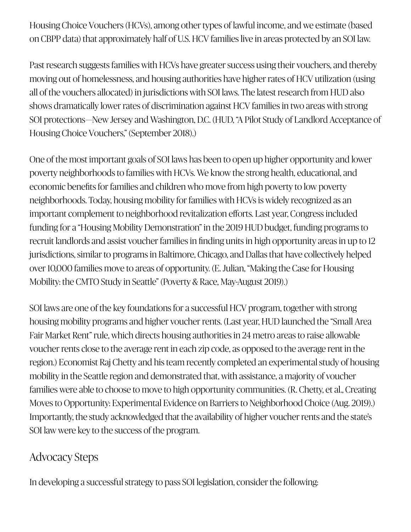Housing Choice Vouchers (HCVs), among other types of lawful income, and we estimate (based on CBPP data) that approximately half of U.S. HCV families live in areas protected by an SOI law.

Past research suggests families with HCVs have greater success using their vouchers, and thereby moving out of homelessness, and housing authorities have higher rates of HCV utilization (using all of the vouchers allocated) in jurisdictions with SOI laws. The latest research from HUD also shows dramatically lower rates of discrimination against HCV families in two areas with strong SOI protections—New Jersey and Washington, D.C. (HUD, "A Pilot Study of Landlord Acceptance of Housing Choice Vouchers," (September 2018).)

One of the most important goals of SOI laws has been to open up higher opportunity and lower poverty neighborhoods to families with HCVs. We know the strong health, educational, and economic benefits for families and children who move from high poverty to low poverty neighborhoods. Today, housing mobility for families with HCVs is widely recognized as an important complement to neighborhood revitalization efforts. Last year, Congress included funding for a "Housing Mobility Demonstration" in the 2019 HUD budget, funding programs to recruit landlords and assist voucher families in finding units in high opportunity areas in up to 12 jurisdictions, similar to programs in Baltimore, Chicago, and Dallas that have collectively helped over 10,000 families move to areas of opportunity. (E. Julian, "Making the Case for Housing Mobility: the CMTO Study in Seattle" (Poverty & Race, May-August 2019).)

SOI laws are one of the key foundations for a successful HCV program, together with strong housing mobility programs and higher voucher rents. (Last year, HUD launched the "Small Area Fair Market Rent" rule, which directs housing authorities in 24 metro areas to raise allowable voucher rents close to the average rent in each zip code, as opposed to the average rent in the region.) Economist Raj Chetty and his team recently completed an experimental study of housing mobility in the Seattle region and demonstrated that, with assistance, a majority of voucher families were able to choose to move to high opportunity communities. (R. Chetty, et al., Creating Moves to Opportunity: Experimental Evidence on Barriers to Neighborhood Choice (Aug. 2019).) Importantly, the study acknowledged that the availability of higher voucher rents and the state's SOI law were key to the success of the program.

## Advocacy Steps

In developing a successful stratey to pass SOI legislation, consider the following: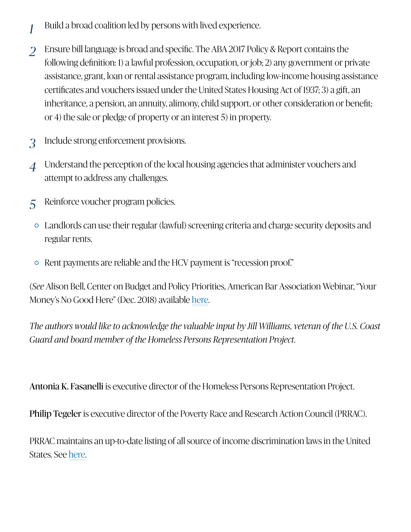- Build a broad coalition led by persons with lived experience. *1*
- Ensure bill language is broad and specific. The ABA 2017 Policy & Report contains the following definition: 1) a lawful profession, occupation, or job; 2) any government or private assistance, grant, loan or rental assistance program, including low-income housing assistance certificates and vouchers issued under the United States Housing Act of 1937; 3) a gift, an inheritance, a pension, an annuity, alimony, child support, or other consideration or benefit; or 4) the sale or pledge of property or an interest 5) in property. *2*
- Include strong enforcement provisions. *3*
- Understand the perception of the local housing agencies that administer vouchers and attempt to address any challenges. *4*
- Reinforce voucher program policies. *5*
	- Landlords can use their regular (lawful) screening criteria and charge security deposits and regular rents.
	- Rent payments are reliable and the HCV payment is "recession proof."

(*See* Alison Bell, Center on Budget and Policy Priorities, American Bar Association Webinar, "Your Money's No Good Here" (Dec. 2018) available here.

*The authors would like to acknowledge the valuable input by Jill Williams, veteran of the U.S. Coast Guard and board member of the Homeless Persons Representation Project.* o Good Here" (Dec. 2018) available [here](http://www.prrac.org/pdf/AppendixB.pdf)<br>s would like to acknowledge the valuab<br>board member of the Homeless Person.<br>**Fasanelli** is executive director of the H<br>eler is executive director of the Poverty<br>intains an up-to-date

Antonia K. Fasanelli is executive director of the Homeless Persons Representation Project.

Philip Tegeler is executive director of the Poverty Race and Research Action Council (PRRAC).

PRRAC maintains an up-to-date listing of all source of income discrimination laws in the United States. See here.